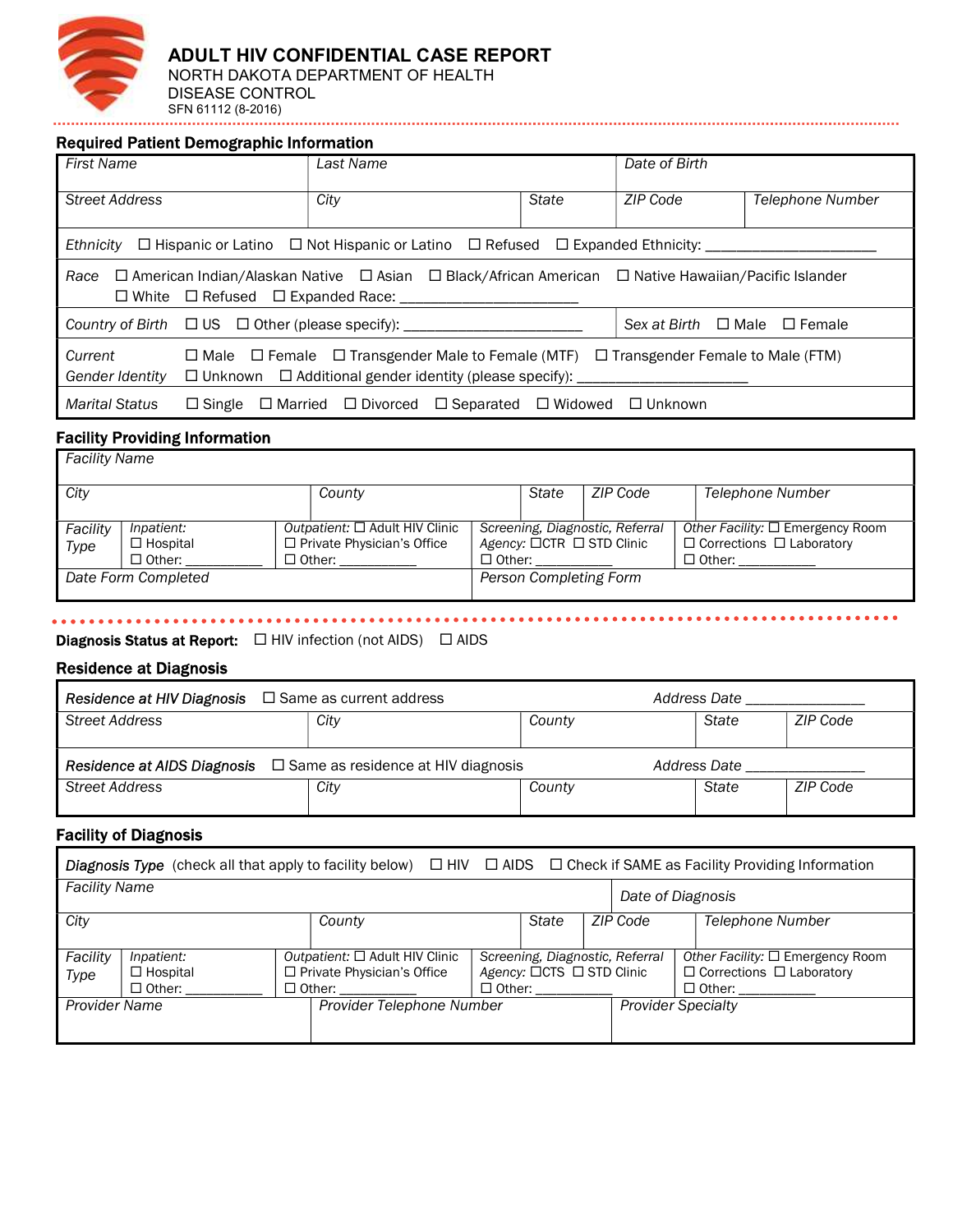

Required Patient Demographic Information

| <b>First Name</b>                                                                                                               |               | Last Name                                                                                                                                                                              |  | Date of Birth                |  |  |
|---------------------------------------------------------------------------------------------------------------------------------|---------------|----------------------------------------------------------------------------------------------------------------------------------------------------------------------------------------|--|------------------------------|--|--|
| <b>Street Address</b>                                                                                                           |               | City<br>State                                                                                                                                                                          |  | ZIP Code<br>Telephone Number |  |  |
| Ethnicity                                                                                                                       |               | $\Box$ Hispanic or Latino $\Box$ Not Hispanic or Latino $\Box$ Refused $\Box$ Expanded Ethnicity:                                                                                      |  |                              |  |  |
| Race                                                                                                                            |               | $\Box$ American Indian/Alaskan Native $\Box$ Asian $\Box$ Black/African American $\Box$ Native Hawaiian/Pacific Islander<br>□ White □ Refused □ Expanded Race: __________              |  |                              |  |  |
| Country of Birth $\Box$ US $\Box$ Other (please specify): ___________________________<br>Sex at Birth $\Box$ Male $\Box$ Female |               |                                                                                                                                                                                        |  |                              |  |  |
| Current<br><b>Gender Identity</b>                                                                                               |               | $\Box$ Male $\Box$ Female $\Box$ Transgender Male to Female (MTF) $\Box$ Transgender Female to Male (FTM)<br>$\Box$ Unknown $\Box$ Additional gender identity (please specify): ______ |  |                              |  |  |
| <b>Marital Status</b>                                                                                                           | $\Box$ Single | $\Box$ Married $\Box$ Divorced $\Box$ Separated $\Box$ Widowed $\Box$ Unknown                                                                                                          |  |                              |  |  |

## Facility Providing Information

| Facility Name       |                 |                                     |                           |       |                                 |                                          |
|---------------------|-----------------|-------------------------------------|---------------------------|-------|---------------------------------|------------------------------------------|
| City                |                 | County                              |                           | State | ZIP Code                        | Telephone Number                         |
|                     |                 |                                     |                           |       |                                 |                                          |
| Facility            | Inpatient:      | Outpatient: $\Box$ Adult HIV Clinic |                           |       | Screening, Diagnostic, Referral | Other Facility: $\square$ Emergency Room |
| Type                | $\Box$ Hospital | □ Private Physician's Office        | Agency: □CTR □ STD Clinic |       |                                 | $\Box$ Corrections $\Box$ Laboratory     |
|                     | $\Box$ Other:   | $\Box$ Other:                       | $\Box$ Other:             |       |                                 | $\Box$ Other:                            |
| Date Form Completed |                 | Person Completing Form              |                           |       |                                 |                                          |
|                     |                 |                                     |                           |       |                                 |                                          |

. . . . . . . .

#### **Diagnosis Status at Report:**  $\Box$  HIV infection (not AIDS)  $\Box$  AIDS

### Residence at Diagnosis

i,

| <b>Residence at HIV Diagnosis</b> $\Box$ Same as current address                             |      |  |        | Address Date |       |          |
|----------------------------------------------------------------------------------------------|------|--|--------|--------------|-------|----------|
| Street Address                                                                               | City |  | County |              | State | ZIP Code |
|                                                                                              |      |  |        |              |       |          |
| <b>Residence at AIDS Diagnosis</b> $\Box$ Same as residence at HIV diagnosis<br>Address Date |      |  |        |              |       |          |
| <b>Street Address</b>                                                                        | City |  | County |              | State | ZIP Code |

#### Facility of Diagnosis

|                      | <b>Diagnosis Type</b> (check all that apply to facility below) $\Box$ HIV $\Box$ AIDS $\Box$ Check if SAME as Facility Providing Information |                                  |                                                                                           |                   |                                                                               |  |          |                                                                                                   |
|----------------------|----------------------------------------------------------------------------------------------------------------------------------------------|----------------------------------|-------------------------------------------------------------------------------------------|-------------------|-------------------------------------------------------------------------------|--|----------|---------------------------------------------------------------------------------------------------|
| <b>Facility Name</b> |                                                                                                                                              |                                  |                                                                                           | Date of Diagnosis |                                                                               |  |          |                                                                                                   |
| City                 |                                                                                                                                              |                                  | County                                                                                    |                   | State                                                                         |  | ZIP Code | <b>Telephone Number</b>                                                                           |
| Facility<br>Type     | Inpatient:<br>$\Box$ Hospital<br>□ Other:                                                                                                    |                                  | Outpatient: $\Box$ Adult HIV Clinic<br>$\Box$ Private Physician's Office<br>$\Box$ Other: |                   | Screening, Diagnostic, Referral<br>Agency: □CTS □ STD Clinic<br>$\Box$ Other: |  |          | Other Facility: $\square$ Emergency Room<br>$\Box$ Corrections $\Box$ Laboratory<br>$\Box$ Other: |
| <b>Provider Name</b> |                                                                                                                                              | <b>Provider Telephone Number</b> |                                                                                           |                   | <b>Provider Specialty</b>                                                     |  |          |                                                                                                   |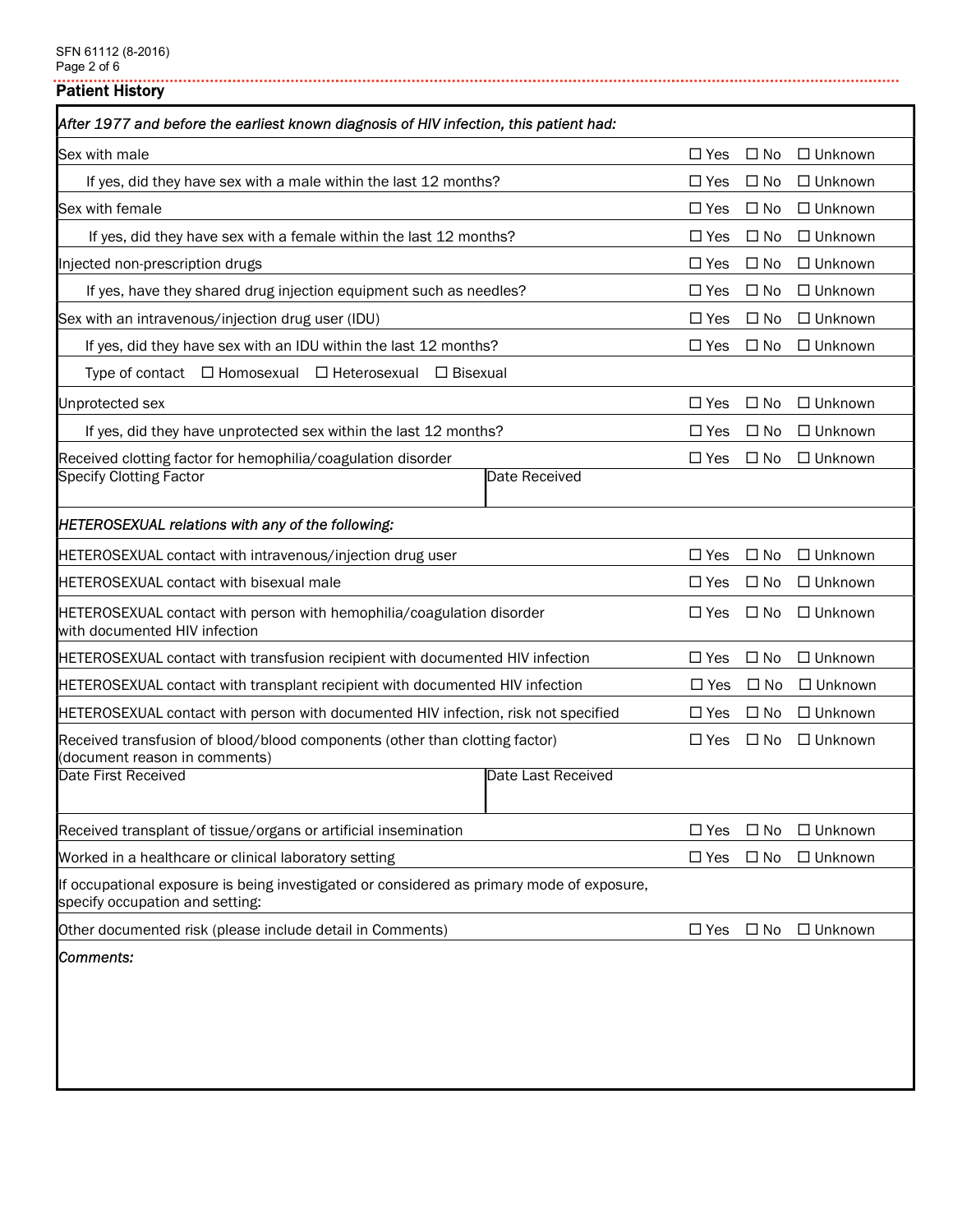Patient History

| After 1977 and before the earliest known diagnosis of HIV infection, this patient had:                                       |               |              |                |
|------------------------------------------------------------------------------------------------------------------------------|---------------|--------------|----------------|
| Sex with male                                                                                                                | $\Box$ Yes    | $\square$ No | $\Box$ Unknown |
| If yes, did they have sex with a male within the last 12 months?                                                             | $\Box$ Yes    | $\square$ No | $\Box$ Unknown |
| Sex with female                                                                                                              | $\Box$ Yes    | $\square$ No | $\Box$ Unknown |
| If yes, did they have sex with a female within the last 12 months?                                                           | $\square$ Yes | $\Box$ No    | $\Box$ Unknown |
| Injected non-prescription drugs                                                                                              | $\Box$ Yes    | $\square$ No | $\Box$ Unknown |
| If yes, have they shared drug injection equipment such as needles?                                                           | $\Box$ Yes    | $\square$ No | $\Box$ Unknown |
| Sex with an intravenous/injection drug user (IDU)                                                                            | $\Box$ Yes    | $\Box$ No    | $\Box$ Unknown |
| If yes, did they have sex with an IDU within the last 12 months?                                                             | $\Box$ Yes    | $\square$ No | $\Box$ Unknown |
| Type of contact $\Box$ Homosexual $\Box$ Heterosexual $\Box$ Bisexual                                                        |               |              |                |
| Unprotected sex                                                                                                              | $\Box$ Yes    | $\Box$ No    | $\Box$ Unknown |
| If yes, did they have unprotected sex within the last 12 months?                                                             | $\Box$ Yes    | $\Box$ No    | $\Box$ Unknown |
| Received clotting factor for hemophilia/coagulation disorder<br><b>Specify Clotting Factor</b><br>Date Received              | $\Box$ Yes    | $\square$ No | $\Box$ Unknown |
| HETEROSEXUAL relations with any of the following:                                                                            |               |              |                |
| HETEROSEXUAL contact with intravenous/injection drug user                                                                    | $\Box$ Yes    | $\square$ No | $\Box$ Unknown |
| <b>HETEROSEXUAL contact with bisexual male</b>                                                                               | $\Box$ Yes    | $\square$ No | $\Box$ Unknown |
| HETEROSEXUAL contact with person with hemophilia/coagulation disorder<br>with documented HIV infection                       | $\Box$ Yes    | $\Box$ No    | $\Box$ Unknown |
| HETEROSEXUAL contact with transfusion recipient with documented HIV infection                                                | $\Box$ Yes    | $\square$ No | $\Box$ Unknown |
| <b>HETEROSEXUAL contact with transplant recipient with documented HIV infection</b>                                          | $\Box$ Yes    | $\square$ No | $\Box$ Unknown |
| HETEROSEXUAL contact with person with documented HIV infection, risk not specified                                           | $\Box$ Yes    | $\square$ No | $\Box$ Unknown |
| Received transfusion of blood/blood components (other than clotting factor)<br>(document reason in comments)                 | $\Box$ Yes    | $\Box$ No    | $\Box$ Unknown |
| Date Last Received<br>Date First Received                                                                                    |               |              |                |
| Received transplant of tissue/organs or artificial insemination                                                              | $\Box$ Yes    | $\Box$ No    | $\Box$ Unknown |
| Worked in a healthcare or clinical laboratory setting                                                                        | $\square$ Yes | $\Box$ No    | □ Unknown      |
| If occupational exposure is being investigated or considered as primary mode of exposure,<br>specify occupation and setting: |               |              |                |
| Other documented risk (please include detail in Comments)                                                                    | $\Box$ Yes    | $\square$ No | $\Box$ Unknown |
| Comments:                                                                                                                    |               |              |                |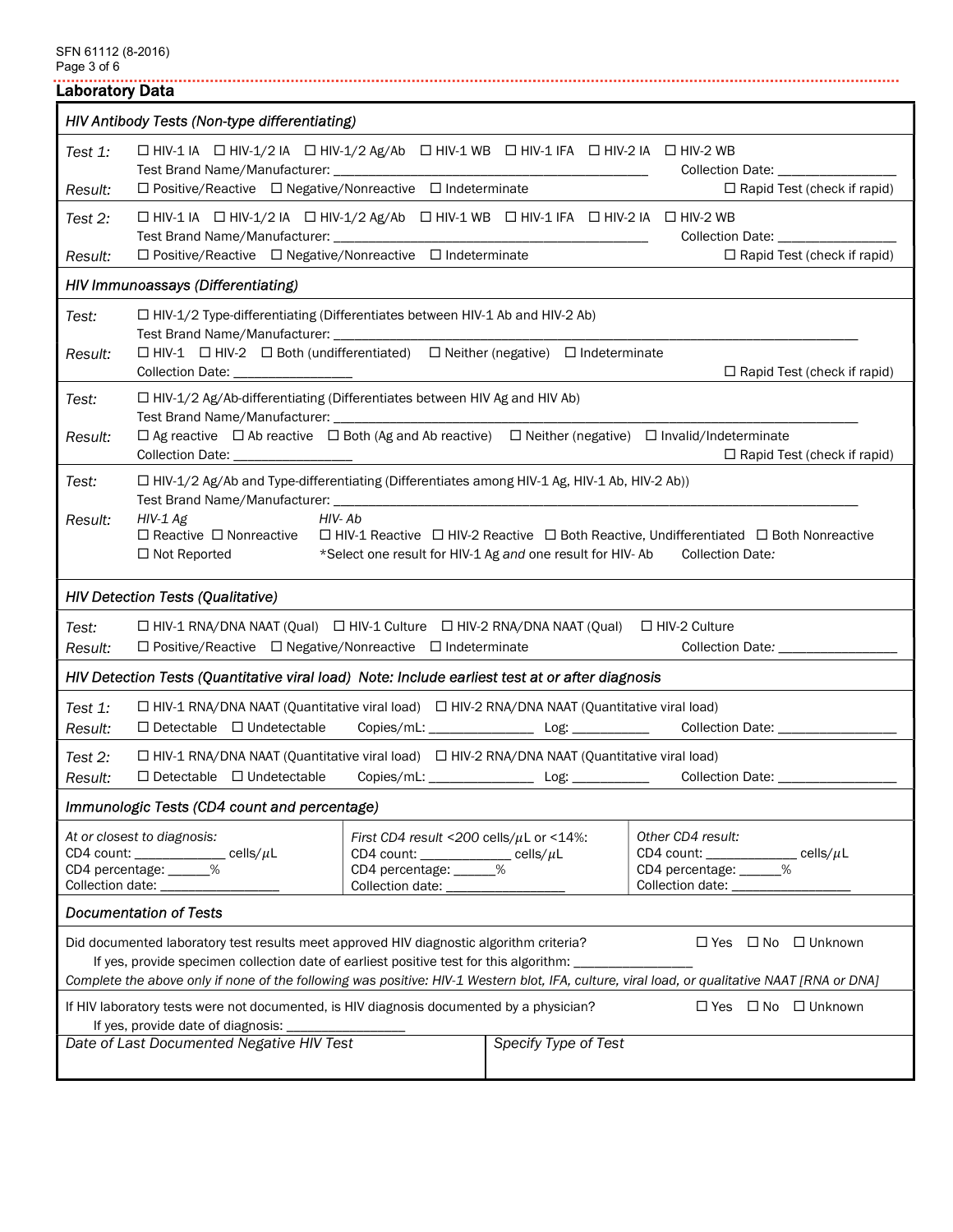| <b>Laboratory Data</b>                                                                                                                                                                                                                                                                                                   |                                                                                                                                                                                                                                                                                                                                                                                                                       |  |                                                        |                                                                                                                                                                |  |  |  |
|--------------------------------------------------------------------------------------------------------------------------------------------------------------------------------------------------------------------------------------------------------------------------------------------------------------------------|-----------------------------------------------------------------------------------------------------------------------------------------------------------------------------------------------------------------------------------------------------------------------------------------------------------------------------------------------------------------------------------------------------------------------|--|--------------------------------------------------------|----------------------------------------------------------------------------------------------------------------------------------------------------------------|--|--|--|
|                                                                                                                                                                                                                                                                                                                          | HIV Antibody Tests (Non-type differentiating)                                                                                                                                                                                                                                                                                                                                                                         |  |                                                        |                                                                                                                                                                |  |  |  |
| Test 1:                                                                                                                                                                                                                                                                                                                  | □ HIV-1 IA □ HIV-1/2 IA □ HIV-1/2 Ag/Ab □ HIV-1 WB □ HIV-1 IFA □ HIV-2 IA □ HIV-2 WB                                                                                                                                                                                                                                                                                                                                  |  |                                                        | Collection Date: ________________                                                                                                                              |  |  |  |
| Result:                                                                                                                                                                                                                                                                                                                  | $\Box$ Positive/Reactive $\Box$ Negative/Nonreactive $\Box$ Indeterminate                                                                                                                                                                                                                                                                                                                                             |  |                                                        | $\Box$ Rapid Test (check if rapid)                                                                                                                             |  |  |  |
| Test 2:                                                                                                                                                                                                                                                                                                                  | $\Box$ HIV-1 IA $\Box$ HIV-1/2 IA $\Box$ HIV-1/2 Ag/Ab $\Box$ HIV-1 WB $\Box$ HIV-1 IFA $\Box$ HIV-2 IA $\Box$ HIV-2 WB                                                                                                                                                                                                                                                                                               |  |                                                        | <b>Collection Date:</b>                                                                                                                                        |  |  |  |
| Result:                                                                                                                                                                                                                                                                                                                  | $\Box$ Positive/Reactive $\Box$ Negative/Nonreactive $\Box$ Indeterminate<br>$\Box$ Rapid Test (check if rapid)                                                                                                                                                                                                                                                                                                       |  |                                                        |                                                                                                                                                                |  |  |  |
|                                                                                                                                                                                                                                                                                                                          | HIV Immunoassays (Differentiating)                                                                                                                                                                                                                                                                                                                                                                                    |  |                                                        |                                                                                                                                                                |  |  |  |
| Test:<br>Result:                                                                                                                                                                                                                                                                                                         | $\Box$ HIV-1/2 Type-differentiating (Differentiates between HIV-1 Ab and HIV-2 Ab)<br>Test Brand Name/Manufacturer: _______________<br>□ HIV-1 □ HIV-2 □ Both (undifferentiated) □ Neither (negative) □ Indeterminate<br>$\Box$ Rapid Test (check if rapid)                                                                                                                                                           |  |                                                        |                                                                                                                                                                |  |  |  |
| Test:                                                                                                                                                                                                                                                                                                                    | $\Box$ HIV-1/2 Ag/Ab-differentiating (Differentiates between HIV Ag and HIV Ab)                                                                                                                                                                                                                                                                                                                                       |  |                                                        |                                                                                                                                                                |  |  |  |
| Result:                                                                                                                                                                                                                                                                                                                  | Collection Date: __________________                                                                                                                                                                                                                                                                                                                                                                                   |  |                                                        | $\Box$ Ag reactive $\Box$ Ab reactive $\Box$ Both (Ag and Ab reactive) $\Box$ Neither (negative) $\Box$ Invalid/Indeterminate<br>□ Rapid Test (check if rapid) |  |  |  |
| Test:                                                                                                                                                                                                                                                                                                                    | □ HIV-1/2 Ag/Ab and Type-differentiating (Differentiates among HIV-1 Ag, HIV-1 Ab, HIV-2 Ab))                                                                                                                                                                                                                                                                                                                         |  |                                                        |                                                                                                                                                                |  |  |  |
| Result:                                                                                                                                                                                                                                                                                                                  | $HIV-Ab$<br>$HIV-1Ag$<br>$\Box$ Reactive $\Box$ Nonreactive $\Box$ HIV-1 Reactive $\Box$ HIV-2 Reactive $\Box$ Both Reactive, Undifferentiated $\Box$ Both Nonreactive<br>$\Box$ Not Reported<br>*Select one result for HIV-1 Ag and one result for HIV-Ab<br><b>Collection Date:</b>                                                                                                                                 |  |                                                        |                                                                                                                                                                |  |  |  |
|                                                                                                                                                                                                                                                                                                                          | <b>HIV Detection Tests (Qualitative)</b>                                                                                                                                                                                                                                                                                                                                                                              |  |                                                        |                                                                                                                                                                |  |  |  |
| Test:<br>Result:                                                                                                                                                                                                                                                                                                         | □ HIV-1 RNA/DNA NAAT (Qual) □ HIV-1 Culture □ HIV-2 RNA/DNA NAAT (Qual) □ HIV-2 Culture<br>$\Box$ Positive/Reactive $\Box$ Negative/Nonreactive $\Box$ Indeterminate                                                                                                                                                                                                                                                  |  |                                                        | Collection Date: ____________                                                                                                                                  |  |  |  |
|                                                                                                                                                                                                                                                                                                                          | HIV Detection Tests (Quantitative viral load) Note: Include earliest test at or after diagnosis                                                                                                                                                                                                                                                                                                                       |  |                                                        |                                                                                                                                                                |  |  |  |
| Test 1:<br>Result:                                                                                                                                                                                                                                                                                                       | □ HIV-1 RNA/DNA NAAT (Quantitative viral load) □ HIV-2 RNA/DNA NAAT (Quantitative viral load)<br>$\Box$ Detectable $\Box$ Undetectable                                                                                                                                                                                                                                                                                |  |                                                        | Copies/mL: ______________________Log: __________________Collection Date: ______________                                                                        |  |  |  |
| Test 2:                                                                                                                                                                                                                                                                                                                  | □ HIV-1 RNA/DNA NAAT (Quantitative viral load) □ HIV-2 RNA/DNA NAAT (Quantitative viral load)                                                                                                                                                                                                                                                                                                                         |  |                                                        |                                                                                                                                                                |  |  |  |
| Result:                                                                                                                                                                                                                                                                                                                  | $\Box$ Detectable $\Box$ Undetectable                                                                                                                                                                                                                                                                                                                                                                                 |  | $\overline{\phantom{a}}$ Log: $\overline{\phantom{a}}$ | Collection Date: _______________                                                                                                                               |  |  |  |
|                                                                                                                                                                                                                                                                                                                          | Immunologic Tests (CD4 count and percentage)                                                                                                                                                                                                                                                                                                                                                                          |  |                                                        |                                                                                                                                                                |  |  |  |
|                                                                                                                                                                                                                                                                                                                          | Other CD4 result:<br>At or closest to diagnosis:<br>First CD4 result <200 cells/ $\mu$ L or <14%:<br>CD4 count: ___________ cells/ $\mu$ L<br>CD4 percentage: _____%<br>CD4 count: ____________ cells/ $\mu$ L<br>CD4 percentage: ______%<br>CD4 count: ____________ cells/ $\mu$ L<br>CD4 percentage: ______%<br>Collection date: __________________<br>Collection date: ___________<br>Collection date: ___________ |  |                                                        |                                                                                                                                                                |  |  |  |
|                                                                                                                                                                                                                                                                                                                          | <b>Documentation of Tests</b>                                                                                                                                                                                                                                                                                                                                                                                         |  |                                                        |                                                                                                                                                                |  |  |  |
| $\Box$ Yes $\Box$ No $\Box$ Unknown<br>Did documented laboratory test results meet approved HIV diagnostic algorithm criteria?<br>If yes, provide specimen collection date of earliest positive test for this algorithm:<br>the control of the control of the                                                            |                                                                                                                                                                                                                                                                                                                                                                                                                       |  |                                                        |                                                                                                                                                                |  |  |  |
| Complete the above only if none of the following was positive: HIV-1 Western blot, IFA, culture, viral load, or qualitative NAAT [RNA or DNA]<br>If HIV laboratory tests were not documented, is HIV diagnosis documented by a physician?<br>$\Box$ Yes $\Box$ No $\Box$ Unknown<br>If yes, provide date of diagnosis: _ |                                                                                                                                                                                                                                                                                                                                                                                                                       |  |                                                        |                                                                                                                                                                |  |  |  |
|                                                                                                                                                                                                                                                                                                                          | Date of Last Documented Negative HIV Test                                                                                                                                                                                                                                                                                                                                                                             |  | Specify Type of Test                                   |                                                                                                                                                                |  |  |  |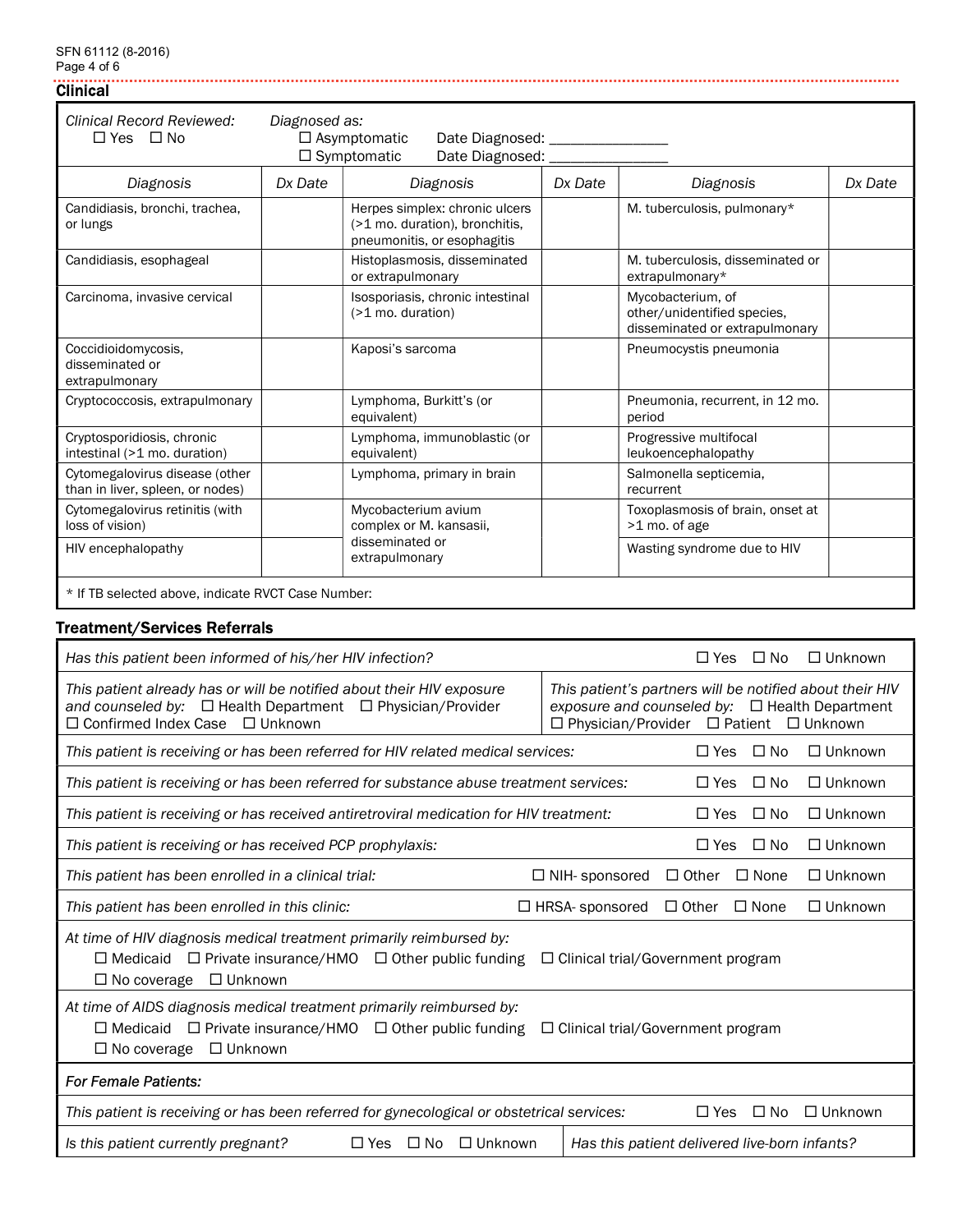# Clinical

| Clinical Record Reviewed:<br>$\Box$ Yes $\Box$ No                  | Diagnosed as: | $\Box$ Asymptomatic<br>Date Diagnosed: __________<br>$\Box$ Symptomatic<br>Date Diagnosed: _    |         |                                                                                    |         |
|--------------------------------------------------------------------|---------------|-------------------------------------------------------------------------------------------------|---------|------------------------------------------------------------------------------------|---------|
| Diagnosis                                                          | Dx Date       | Diagnosis                                                                                       | Dx Date | Diagnosis                                                                          | Dx Date |
| Candidiasis, bronchi, trachea,<br>or lungs                         |               | Herpes simplex: chronic ulcers<br>(>1 mo. duration), bronchitis,<br>pneumonitis, or esophagitis |         | M. tuberculosis, pulmonary*                                                        |         |
| Candidiasis, esophageal                                            |               | Histoplasmosis, disseminated<br>or extrapulmonary                                               |         | M. tuberculosis, disseminated or<br>extrapulmonary*                                |         |
| Carcinoma, invasive cervical                                       |               | Isosporiasis, chronic intestinal<br>$($ >1 mo. duration)                                        |         | Mycobacterium, of<br>other/unidentified species.<br>disseminated or extrapulmonary |         |
| Coccidioidomycosis,<br>disseminated or<br>extrapulmonary           |               | Kaposi's sarcoma                                                                                |         | Pneumocystis pneumonia                                                             |         |
| Cryptococcosis, extrapulmonary                                     |               | Lymphoma, Burkitt's (or<br>equivalent)                                                          |         | Pneumonia, recurrent, in 12 mo.<br>period                                          |         |
| Cryptosporidiosis, chronic<br>intestinal (>1 mo. duration)         |               | Lymphoma, immunoblastic (or<br>equivalent)                                                      |         | Progressive multifocal<br>leukoencephalopathy                                      |         |
| Cytomegalovirus disease (other<br>than in liver, spleen, or nodes) |               | Lymphoma, primary in brain                                                                      |         | Salmonella septicemia,<br>recurrent                                                |         |
| Cytomegalovirus retinitis (with<br>loss of vision)                 |               | Mycobacterium avium<br>complex or M. kansasii,                                                  |         | Toxoplasmosis of brain, onset at<br>>1 mo. of age                                  |         |
| HIV encephalopathy                                                 |               | disseminated or<br>extrapulmonary                                                               |         | Wasting syndrome due to HIV                                                        |         |
| $+$ If TD colocted above indicate DVCT Case Number                 |               |                                                                                                 |         |                                                                                    |         |

............................

\* If TB selected above, indicate RVCT Case Number:

# Treatment/Services Referrals

| Has this patient been informed of his/her HIV infection?                                                                                                                                                                                | $\square$ No<br>$\Box$ Unknown<br>$\Box$ Yes                                                                                                                |  |  |  |  |  |
|-----------------------------------------------------------------------------------------------------------------------------------------------------------------------------------------------------------------------------------------|-------------------------------------------------------------------------------------------------------------------------------------------------------------|--|--|--|--|--|
| This patient already has or will be notified about their HIV exposure<br>and counseled by: $\Box$ Health Department $\Box$ Physician/Provider<br>$\Box$ Confirmed Index Case<br>$\Box$ Unknown                                          | This patient's partners will be notified about their HIV<br>exposure and counseled by: $\Box$ Health Department<br>□ Physician/Provider □ Patient □ Unknown |  |  |  |  |  |
| This patient is receiving or has been referred for HIV related medical services:                                                                                                                                                        | $\Box$ No<br>$\Box$ Unknown<br>$\Box$ Yes                                                                                                                   |  |  |  |  |  |
| This patient is receiving or has been referred for substance abuse treatment services:                                                                                                                                                  | $\Box$ No<br>$\Box$ Unknown<br>$\Box$ Yes                                                                                                                   |  |  |  |  |  |
| This patient is receiving or has received antiretroviral medication for HIV treatment:                                                                                                                                                  | $\Box$ No<br>$\Box$ Yes<br>$\Box$ Unknown                                                                                                                   |  |  |  |  |  |
| This patient is receiving or has received PCP prophylaxis:                                                                                                                                                                              | $\Box$ Yes<br>$\Box$ No<br>$\Box$ Unknown                                                                                                                   |  |  |  |  |  |
| This patient has been enrolled in a clinical trial:                                                                                                                                                                                     | $\Box$ Other<br>$\Box$ None<br>$\Box$ NIH-sponsored<br>$\Box$ Unknown                                                                                       |  |  |  |  |  |
| This patient has been enrolled in this clinic:                                                                                                                                                                                          | $\Box$ HRSA-sponsored<br>$\Box$ Other<br>$\Box$ None<br>$\Box$ Unknown                                                                                      |  |  |  |  |  |
| At time of HIV diagnosis medical treatment primarily reimbursed by:<br>$\Box$ Medicaid $\Box$ Private insurance/HMO $\Box$ Other public funding<br>$\Box$ Unknown<br>$\Box$ No coverage                                                 | $\Box$ Clinical trial/Government program                                                                                                                    |  |  |  |  |  |
| At time of AIDS diagnosis medical treatment primarily reimbursed by:<br>$\Box$ Medicaid<br>$\Box$ Private insurance/HMO $\Box$ Other public funding<br>$\Box$ Clinical trial/Government program<br>$\Box$ Unknown<br>$\Box$ No coverage |                                                                                                                                                             |  |  |  |  |  |
| <b>For Female Patients:</b>                                                                                                                                                                                                             |                                                                                                                                                             |  |  |  |  |  |
| This patient is receiving or has been referred for gynecological or obstetrical services:                                                                                                                                               | $\square$ No<br>$\Box$ Unknown<br>$\Box$ Yes                                                                                                                |  |  |  |  |  |
| $\Box$ Unknown<br>Is this patient currently pregnant?<br>$\Box$ Yes<br>$\square$ No                                                                                                                                                     | Has this patient delivered live-born infants?                                                                                                               |  |  |  |  |  |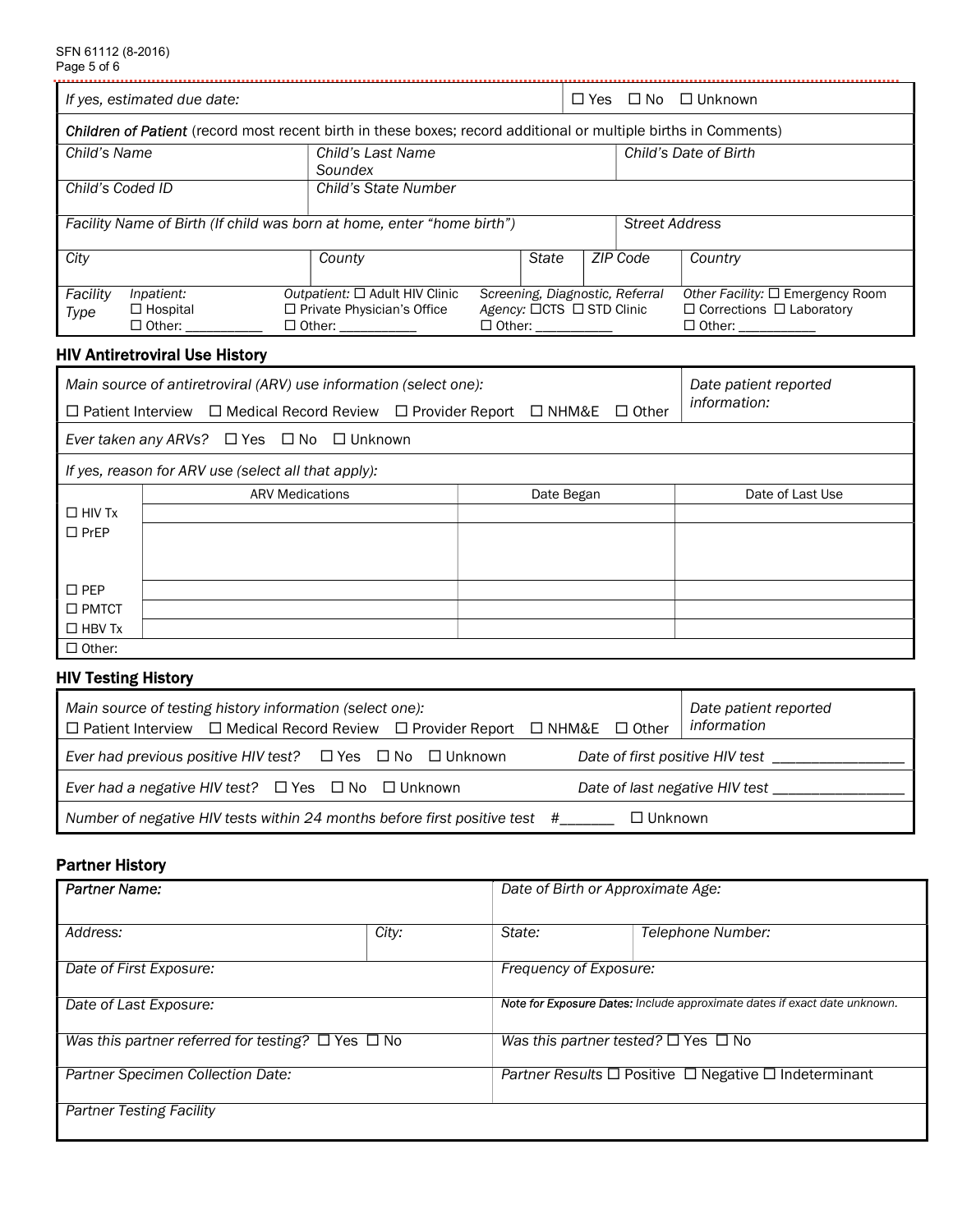| If yes, estimated due date:                                                                                 |                                                                                                                                            |                                                                                        | $\square$ Yes |                                                                                       | □ No □ Unknown |                       |                                                                                                |  |
|-------------------------------------------------------------------------------------------------------------|--------------------------------------------------------------------------------------------------------------------------------------------|----------------------------------------------------------------------------------------|---------------|---------------------------------------------------------------------------------------|----------------|-----------------------|------------------------------------------------------------------------------------------------|--|
|                                                                                                             | Children of Patient (record most recent birth in these boxes; record additional or multiple births in Comments)                            |                                                                                        |               |                                                                                       |                |                       |                                                                                                |  |
| Child's Name                                                                                                |                                                                                                                                            | Child's Last Name<br>Soundex                                                           |               |                                                                                       |                |                       | Child's Date of Birth                                                                          |  |
| Child's Coded ID                                                                                            |                                                                                                                                            | Child's State Number                                                                   |               |                                                                                       |                |                       |                                                                                                |  |
|                                                                                                             | Facility Name of Birth (If child was born at home, enter "home birth")                                                                     |                                                                                        |               |                                                                                       |                | <b>Street Address</b> |                                                                                                |  |
| City                                                                                                        |                                                                                                                                            | County                                                                                 |               | <b>State</b>                                                                          |                | ZIP Code              | Country                                                                                        |  |
| Facility<br>Type                                                                                            | Inpatient:<br>$\Box$ Hospital<br>□ Other: ___________                                                                                      | Outpatient: □ Adult HIV Clinic<br>□ Private Physician's Office<br>□ Other: ___________ |               | Screening, Diagnostic, Referral<br>Agency: □CTS □ STD Clinic<br>□ Other: ____________ |                |                       | Other Facility: □ Emergency Room<br>$\Box$ Corrections $\Box$ Laboratory<br>□ Other: _________ |  |
|                                                                                                             | <b>HIV Antiretroviral Use History</b>                                                                                                      |                                                                                        |               |                                                                                       |                |                       |                                                                                                |  |
|                                                                                                             | Main source of antiretroviral (ARV) use information (select one):<br>□ Patient Interview □ Medical Record Review □ Provider Report □ NHM&E |                                                                                        |               |                                                                                       |                | $\Box$ Other          | Date patient reported<br>information:                                                          |  |
|                                                                                                             | Ever taken any ARVs? $\Box$ Yes $\Box$ No $\Box$ Unknown                                                                                   |                                                                                        |               |                                                                                       |                |                       |                                                                                                |  |
|                                                                                                             | If yes, reason for ARV use (select all that apply):                                                                                        |                                                                                        |               |                                                                                       |                |                       |                                                                                                |  |
| $\Box$ HIV Tx<br>$\square$ PrEP                                                                             | <b>ARV Medications</b>                                                                                                                     |                                                                                        |               | Date Began                                                                            |                |                       | Date of Last Use                                                                               |  |
| $\square$ PEP<br>$\square$ PMTCT<br>$\Box$ HBV Tx<br>$\Box$ Other:                                          |                                                                                                                                            |                                                                                        |               |                                                                                       |                |                       |                                                                                                |  |
| <b>HIV Testing History</b>                                                                                  |                                                                                                                                            |                                                                                        |               |                                                                                       |                |                       |                                                                                                |  |
|                                                                                                             | Main source of testing history information (select one):<br>□ Patient Interview □ Medical Record Review □ Provider Report □ NHM&E          |                                                                                        |               |                                                                                       |                | $\Box$ Other          | Date patient reported<br>information                                                           |  |
| Ever had previous positive HIV test? $\Box$ Yes $\Box$ No $\Box$ Unknown<br>Date of first positive HIV test |                                                                                                                                            |                                                                                        |               |                                                                                       |                |                       |                                                                                                |  |
|                                                                                                             | Ever had a negative HIV test? $\Box$ Yes $\Box$ No $\Box$ Unknown<br>Date of last negative HIV test ____                                   |                                                                                        |               |                                                                                       |                |                       |                                                                                                |  |
| Number of negative HIV tests within 24 months before first positive test #__<br>$\Box$ Unknown              |                                                                                                                                            |                                                                                        |               |                                                                                       |                |                       |                                                                                                |  |
| <b>Partner History</b>                                                                                      |                                                                                                                                            |                                                                                        |               |                                                                                       |                |                       |                                                                                                |  |
| <b>Partner Name:</b>                                                                                        |                                                                                                                                            |                                                                                        |               | Date of Birth or Approximate Age:                                                     |                |                       |                                                                                                |  |
| Address:                                                                                                    |                                                                                                                                            | City:                                                                                  | State:        |                                                                                       |                |                       | Telephone Number:                                                                              |  |
| Date of First Exposure:                                                                                     |                                                                                                                                            |                                                                                        |               | Frequency of Exposure:                                                                |                |                       |                                                                                                |  |

| <b>Note for Exposure Dates:</b> Include approximate dates if exact date unknown.<br>Was this partner tested? $\square$ Yes $\square$ No |
|-----------------------------------------------------------------------------------------------------------------------------------------|
|                                                                                                                                         |
|                                                                                                                                         |
| <i>Partner Results</i> $\Box$ Positive $\Box$ Negative $\Box$ Indeterminant                                                             |
|                                                                                                                                         |
|                                                                                                                                         |